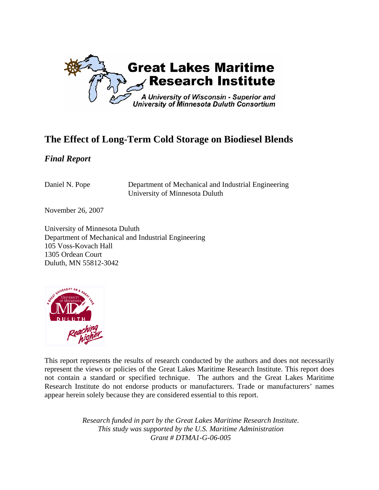

# **The Effect of Long-Term Cold Storage on Biodiesel Blends**

## *Final Report*

Daniel N. Pope Department of Mechanical and Industrial Engineering University of Minnesota Duluth

November 26, 2007

University of Minnesota Duluth Department of Mechanical and Industrial Engineering 105 Voss-Kovach Hall 1305 Ordean Court Duluth, MN 55812-3042



This report represents the results of research conducted by the authors and does not necessarily represent the views or policies of the Great Lakes Maritime Research Institute. This report does not contain a standard or specified technique. The authors and the Great Lakes Maritime Research Institute do not endorse products or manufacturers. Trade or manufacturers' names appear herein solely because they are considered essential to this report.

> *Research funded in part by the Great Lakes Maritime Research Institute. This study was supported by the U.S. Maritime Administration Grant # DTMA1-G-06-005*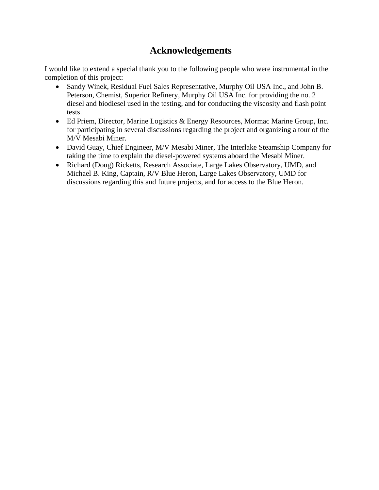## **Acknowledgements**

I would like to extend a special thank you to the following people who were instrumental in the completion of this project:

- Sandy Winek, Residual Fuel Sales Representative, Murphy Oil USA Inc., and John B. Peterson, Chemist, Superior Refinery, Murphy Oil USA Inc. for providing the no. 2 diesel and biodiesel used in the testing, and for conducting the viscosity and flash point tests.
- Ed Priem, Director, Marine Logistics & Energy Resources, Mormac Marine Group, Inc. for participating in several discussions regarding the project and organizing a tour of the M/V Mesabi Miner.
- David Guay, Chief Engineer, M/V Mesabi Miner, The Interlake Steamship Company for taking the time to explain the diesel-powered systems aboard the Mesabi Miner.
- Richard (Doug) Ricketts, Research Associate, Large Lakes Observatory, UMD, and Michael B. King, Captain, R/V Blue Heron, Large Lakes Observatory, UMD for discussions regarding this and future projects, and for access to the Blue Heron.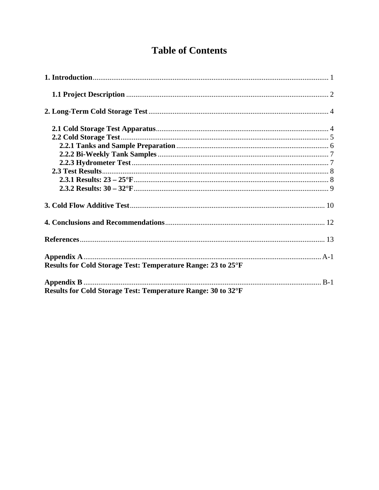# **Table of Contents**

| <b>Results for Cold Storage Test: Temperature Range: 23 to 25°F</b> |  |
|---------------------------------------------------------------------|--|
|                                                                     |  |
| Results for Cold Storage Test: Temperature Range: 30 to 32°F        |  |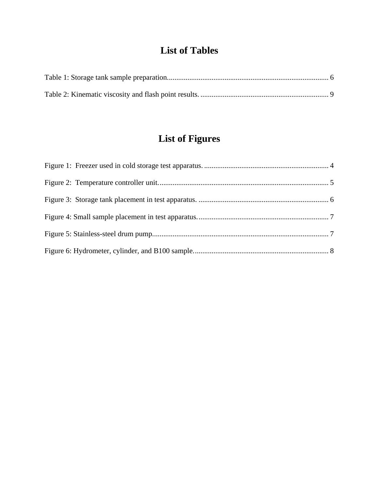# **List of Tables**

# **List of Figures**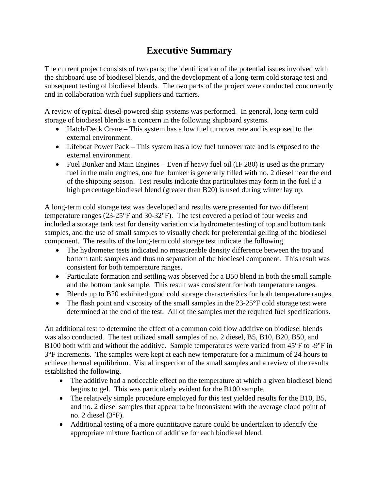# **Executive Summary**

The current project consists of two parts; the identification of the potential issues involved with the shipboard use of biodiesel blends, and the development of a long-term cold storage test and subsequent testing of biodiesel blends. The two parts of the project were conducted concurrently and in collaboration with fuel suppliers and carriers.

A review of typical diesel-powered ship systems was performed. In general, long-term cold storage of biodiesel blends is a concern in the following shipboard systems.

- Hatch/Deck Crane This system has a low fuel turnover rate and is exposed to the external environment.
- Lifeboat Power Pack This system has a low fuel turnover rate and is exposed to the external environment.
- Fuel Bunker and Main Engines Even if heavy fuel oil (IF 280) is used as the primary fuel in the main engines, one fuel bunker is generally filled with no. 2 diesel near the end of the shipping season. Test results indicate that particulates may form in the fuel if a high percentage biodiesel blend (greater than B20) is used during winter lay up.

A long-term cold storage test was developed and results were presented for two different temperature ranges (23-25°F and 30-32°F). The test covered a period of four weeks and included a storage tank test for density variation via hydrometer testing of top and bottom tank samples, and the use of small samples to visually check for preferential gelling of the biodiesel component. The results of the long-term cold storage test indicate the following.

- The hydrometer tests indicated no measureable density difference between the top and bottom tank samples and thus no separation of the biodiesel component. This result was consistent for both temperature ranges.
- Particulate formation and settling was observed for a B50 blend in both the small sample and the bottom tank sample. This result was consistent for both temperature ranges.
- Blends up to B20 exhibited good cold storage characteristics for both temperature ranges.
- The flash point and viscosity of the small samples in the 23-25°F cold storage test were determined at the end of the test. All of the samples met the required fuel specifications.

An additional test to determine the effect of a common cold flow additive on biodiesel blends was also conducted. The test utilized small samples of no. 2 diesel, B5, B10, B20, B50, and B100 both with and without the additive. Sample temperatures were varied from 45°F to -9°F in 3°F increments. The samples were kept at each new temperature for a minimum of 24 hours to achieve thermal equilibrium. Visual inspection of the small samples and a review of the results established the following.

- The additive had a noticeable effect on the temperature at which a given biodiesel blend begins to gel. This was particularly evident for the B100 sample.
- The relatively simple procedure employed for this test yielded results for the B10, B5, and no. 2 diesel samples that appear to be inconsistent with the average cloud point of no. 2 diesel (3°F).
- Additional testing of a more quantitative nature could be undertaken to identify the appropriate mixture fraction of additive for each biodiesel blend.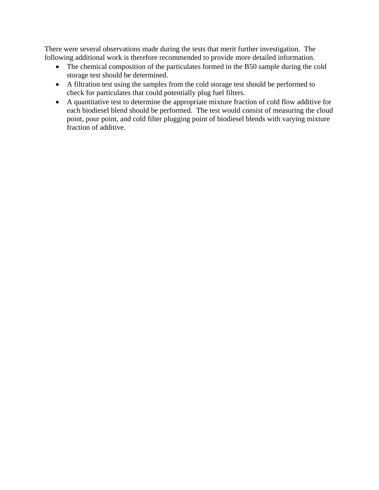There were several observations made during the tests that merit further investigation. The following additional work is therefore recommended to provide more detailed information.

- The chemical composition of the particulates formed in the B50 sample during the cold storage test should be determined.
- A filtration test using the samples from the cold storage test should be performed to check for particulates that could potentially plug fuel filters.
- A quantitative test to determine the appropriate mixture fraction of cold flow additive for each biodiesel blend should be performed. The test would consist of measuring the cloud point, pour point, and cold filter plugging point of biodiesel blends with varying mixture fraction of additive.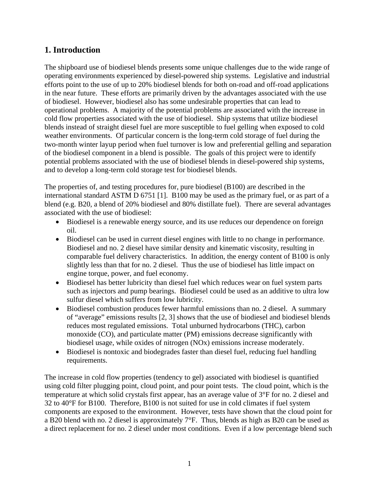## <span id="page-8-0"></span>**1. Introduction**

The shipboard use of biodiesel blends presents some unique challenges due to the wide range of operating environments experienced by diesel-powered ship systems. Legislative and industrial efforts point to the use of up to 20% biodiesel blends for both on-road and off-road applications in the near future. These efforts are primarily driven by the advantages associated with the use of biodiesel. However, biodiesel also has some undesirable properties that can lead to operational problems. A majority of the potential problems are associated with the increase in cold flow properties associated with the use of biodiesel. Ship systems that utilize biodiesel blends instead of straight diesel fuel are more susceptible to fuel gelling when exposed to cold weather environments. Of particular concern is the long-term cold storage of fuel during the two-month winter layup period when fuel turnover is low and preferential gelling and separation of the biodiesel component in a blend is possible. The goals of this project were to identify potential problems associated with the use of biodiesel blends in diesel-powered ship systems, and to develop a long-term cold storage test for biodiesel blends.

The properties of, and testing procedures for, pure biodiesel (B100) are described in the international standard ASTM D 6751 [1]. B100 may be used as the primary fuel, or as part of a blend (e.g. B20, a blend of 20% biodiesel and 80% distillate fuel). There are several advantages associated with the use of biodiesel:

- Biodiesel is a renewable energy source, and its use reduces our dependence on foreign oil.
- Biodiesel can be used in current diesel engines with little to no change in performance. Biodiesel and no. 2 diesel have similar density and kinematic viscosity, resulting in comparable fuel delivery characteristics. In addition, the energy content of B100 is only slightly less than that for no. 2 diesel. Thus the use of biodiesel has little impact on engine torque, power, and fuel economy.
- Biodiesel has better lubricity than diesel fuel which reduces wear on fuel system parts such as injectors and pump bearings. Biodiesel could be used as an additive to ultra low sulfur diesel which suffers from low lubricity.
- Biodiesel combustion produces fewer harmful emissions than no. 2 diesel. A summary of "average" emissions results [2, 3] shows that the use of biodiesel and biodiesel blends reduces most regulated emissions. Total unburned hydrocarbons (THC), carbon monoxide (CO), and particulate matter (PM) emissions decrease significantly with biodiesel usage, while oxides of nitrogen (NOx) emissions increase moderately.
- Biodiesel is nontoxic and biodegrades faster than diesel fuel, reducing fuel handling requirements.

The increase in cold flow properties (tendency to gel) associated with biodiesel is quantified using cold filter plugging point, cloud point, and pour point tests. The cloud point, which is the temperature at which solid crystals first appear, has an average value of 3°F for no. 2 diesel and 32 to 40°F for B100. Therefore, B100 is not suited for use in cold climates if fuel system components are exposed to the environment. However, tests have shown that the cloud point for a B20 blend with no. 2 diesel is approximately 7°F. Thus, blends as high as B20 can be used as a direct replacement for no. 2 diesel under most conditions. Even if a low percentage blend such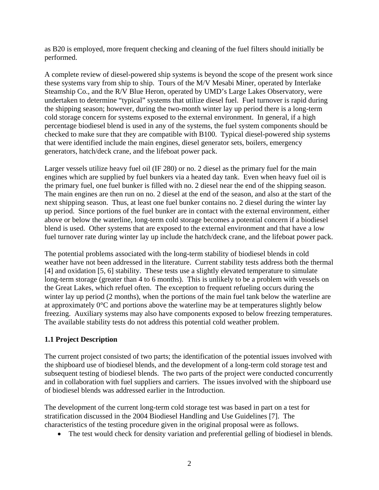<span id="page-9-0"></span>as B20 is employed, more frequent checking and cleaning of the fuel filters should initially be performed.

A complete review of diesel-powered ship systems is beyond the scope of the present work since these systems vary from ship to ship. Tours of the M/V Mesabi Miner, operated by Interlake Steamship Co., and the R/V Blue Heron, operated by UMD's Large Lakes Observatory, were undertaken to determine "typical" systems that utilize diesel fuel. Fuel turnover is rapid during the shipping season; however, during the two-month winter lay up period there is a long-term cold storage concern for systems exposed to the external environment. In general, if a high percentage biodiesel blend is used in any of the systems, the fuel system components should be checked to make sure that they are compatible with B100. Typical diesel-powered ship systems that were identified include the main engines, diesel generator sets, boilers, emergency generators, hatch/deck crane, and the lifeboat power pack.

Larger vessels utilize heavy fuel oil (IF 280) or no. 2 diesel as the primary fuel for the main engines which are supplied by fuel bunkers via a heated day tank. Even when heavy fuel oil is the primary fuel, one fuel bunker is filled with no. 2 diesel near the end of the shipping season. The main engines are then run on no. 2 diesel at the end of the season, and also at the start of the next shipping season. Thus, at least one fuel bunker contains no. 2 diesel during the winter lay up period. Since portions of the fuel bunker are in contact with the external environment, either above or below the waterline, long-term cold storage becomes a potential concern if a biodiesel blend is used. Other systems that are exposed to the external environment and that have a low fuel turnover rate during winter lay up include the hatch/deck crane, and the lifeboat power pack.

The potential problems associated with the long-term stability of biodiesel blends in cold weather have not been addressed in the literature. Current stability tests address both the thermal [4] and oxidation [5, 6] stability. These tests use a slightly elevated temperature to simulate long-term storage (greater than 4 to 6 months). This is unlikely to be a problem with vessels on the Great Lakes, which refuel often. The exception to frequent refueling occurs during the winter lay up period (2 months), when the portions of the main fuel tank below the waterline are at approximately 0°C and portions above the waterline may be at temperatures slightly below freezing. Auxiliary systems may also have components exposed to below freezing temperatures. The available stability tests do not address this potential cold weather problem.

#### **1.1 Project Description**

The current project consisted of two parts; the identification of the potential issues involved with the shipboard use of biodiesel blends, and the development of a long-term cold storage test and subsequent testing of biodiesel blends. The two parts of the project were conducted concurrently and in collaboration with fuel suppliers and carriers. The issues involved with the shipboard use of biodiesel blends was addressed earlier in the Introduction.

The development of the current long-term cold storage test was based in part on a test for stratification discussed in the 2004 Biodiesel Handling and Use Guidelines [7]. The characteristics of the testing procedure given in the original proposal were as follows.

• The test would check for density variation and preferential gelling of biodiesel in blends.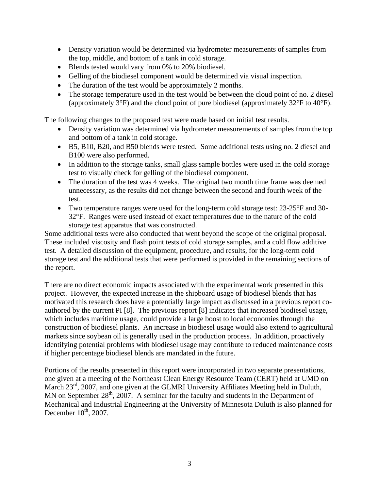- Density variation would be determined via hydrometer measurements of samples from the top, middle, and bottom of a tank in cold storage.
- Blends tested would vary from 0% to 20% biodiesel.
- Gelling of the biodiesel component would be determined via visual inspection.
- The duration of the test would be approximately 2 months.
- The storage temperature used in the test would be between the cloud point of no. 2 diesel (approximately 3°F) and the cloud point of pure biodiesel (approximately 32°F to 40°F).

The following changes to the proposed test were made based on initial test results.

- Density variation was determined via hydrometer measurements of samples from the top and bottom of a tank in cold storage.
- B5, B10, B20, and B50 blends were tested. Some additional tests using no. 2 diesel and B100 were also performed.
- In addition to the storage tanks, small glass sample bottles were used in the cold storage test to visually check for gelling of the biodiesel component.
- The duration of the test was 4 weeks. The original two month time frame was deemed unnecessary, as the results did not change between the second and fourth week of the test.
- Two temperature ranges were used for the long-term cold storage test: 23-25<sup>°</sup>F and 30-32°F. Ranges were used instead of exact temperatures due to the nature of the cold storage test apparatus that was constructed.

Some additional tests were also conducted that went beyond the scope of the original proposal. These included viscosity and flash point tests of cold storage samples, and a cold flow additive test. A detailed discussion of the equipment, procedure, and results, for the long-term cold storage test and the additional tests that were performed is provided in the remaining sections of the report.

There are no direct economic impacts associated with the experimental work presented in this project. However, the expected increase in the shipboard usage of biodiesel blends that has motivated this research does have a potentially large impact as discussed in a previous report coauthored by the current PI [8]. The previous report [8] indicates that increased biodiesel usage, which includes maritime usage, could provide a large boost to local economies through the construction of biodiesel plants. An increase in biodiesel usage would also extend to agricultural markets since soybean oil is generally used in the production process. In addition, proactively identifying potential problems with biodiesel usage may contribute to reduced maintenance costs if higher percentage biodiesel blends are mandated in the future.

Portions of the results presented in this report were incorporated in two separate presentations, one given at a meeting of the Northeast Clean Energy Resource Team (CERT) held at UMD on March  $23<sup>rd</sup>$ , 2007, and one given at the GLMRI University Affiliates Meeting held in Duluth, MN on September  $28<sup>th</sup>$ , 2007. A seminar for the faculty and students in the Department of Mechanical and Industrial Engineering at the University of Minnesota Duluth is also planned for December  $10^{th}$ , 2007.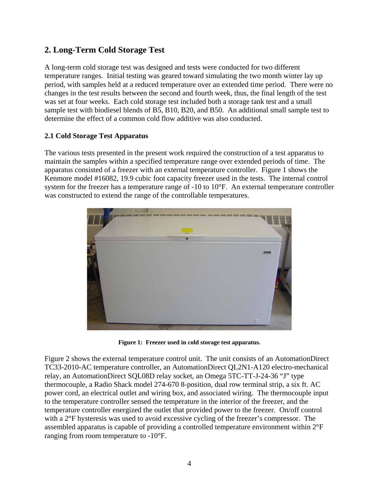## <span id="page-11-0"></span>**2. Long-Term Cold Storage Test**

A long-term cold storage test was designed and tests were conducted for two different temperature ranges. Initial testing was geared toward simulating the two month winter lay up period, with samples held at a reduced temperature over an extended time period. There were no changes in the test results between the second and fourth week, thus, the final length of the test was set at four weeks. Each cold storage test included both a storage tank test and a small sample test with biodiesel blends of B5, B10, B20, and B50. An additional small sample test to determine the effect of a common cold flow additive was also conducted.

#### **2.1 Cold Storage Test Apparatus**

The various tests presented in the present work required the construction of a test apparatus to maintain the samples within a specified temperature range over extended periods of time. The apparatus consisted of a freezer with an external temperature controller. Figure 1 shows the Kenmore model #16082, 19.9 cubic foot capacity freezer used in the tests. The internal control system for the freezer has a temperature range of -10 to 10°F. An external temperature controller was constructed to extend the range of the controllable temperatures.



**Figure 1: Freezer used in cold storage test apparatus.** 

Figure 2 shows the external temperature control unit. The unit consists of an AutomationDirect TC33-2010-AC temperature controller, an AutomationDirect QL2N1-A120 electro-mechanical relay, an AutomationDirect SQL08D relay socket, an Omega 5TC-TT-J-24-36 "J" type thermocouple, a Radio Shack model 274-670 8-position, dual row terminal strip, a six ft. AC power cord, an electrical outlet and wiring box, and associated wiring. The thermocouple input to the temperature controller sensed the temperature in the interior of the freezer, and the temperature controller energized the outlet that provided power to the freezer. On/off control with a 2°F hysteresis was used to avoid excessive cycling of the freezer's compressor. The assembled apparatus is capable of providing a controlled temperature environment within  $2^{\circ}F$ ranging from room temperature to -10°F.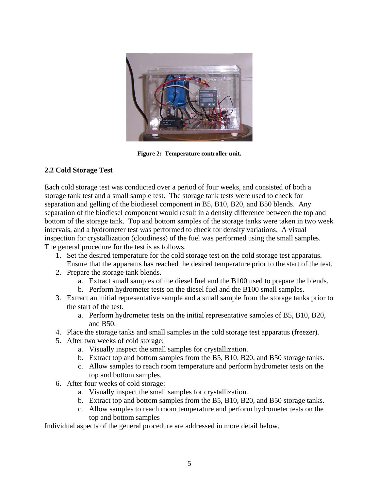<span id="page-12-0"></span>

**Figure 2: Temperature controller unit.** 

#### **2.2 Cold Storage Test**

Each cold storage test was conducted over a period of four weeks, and consisted of both a storage tank test and a small sample test. The storage tank tests were used to check for separation and gelling of the biodiesel component in B5, B10, B20, and B50 blends. Any separation of the biodiesel component would result in a density difference between the top and bottom of the storage tank. Top and bottom samples of the storage tanks were taken in two week intervals, and a hydrometer test was performed to check for density variations. A visual inspection for crystallization (cloudiness) of the fuel was performed using the small samples. The general procedure for the test is as follows.

- 1. Set the desired temperature for the cold storage test on the cold storage test apparatus. Ensure that the apparatus has reached the desired temperature prior to the start of the test.
- 2. Prepare the storage tank blends.
	- a. Extract small samples of the diesel fuel and the B100 used to prepare the blends.
	- b. Perform hydrometer tests on the diesel fuel and the B100 small samples.
- 3. Extract an initial representative sample and a small sample from the storage tanks prior to the start of the test.
	- a. Perform hydrometer tests on the initial representative samples of B5, B10, B20, and B50.
- 4. Place the storage tanks and small samples in the cold storage test apparatus (freezer).
- 5. After two weeks of cold storage:
	- a. Visually inspect the small samples for crystallization.
	- b. Extract top and bottom samples from the B5, B10, B20, and B50 storage tanks.
	- c. Allow samples to reach room temperature and perform hydrometer tests on the top and bottom samples.
- 6. After four weeks of cold storage:
	- a. Visually inspect the small samples for crystallization.
	- b. Extract top and bottom samples from the B5, B10, B20, and B50 storage tanks.
	- c. Allow samples to reach room temperature and perform hydrometer tests on the top and bottom samples

Individual aspects of the general procedure are addressed in more detail below.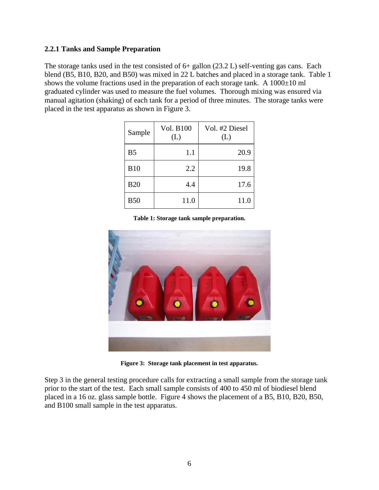#### <span id="page-13-0"></span>**2.2.1 Tanks and Sample Preparation**

The storage tanks used in the test consisted of 6+ gallon (23.2 L) self-venting gas cans. Each blend (B5, B10, B20, and B50) was mixed in 22 L batches and placed in a storage tank. Table 1 shows the volume fractions used in the preparation of each storage tank. A  $1000\pm10$  ml graduated cylinder was used to measure the fuel volumes. Thorough mixing was ensured via manual agitation (shaking) of each tank for a period of three minutes. The storage tanks were placed in the test apparatus as shown in Figure 3.

| Sample         | Vol. B100<br>(L) | Vol. #2 Diesel<br>(L) |
|----------------|------------------|-----------------------|
| B <sub>5</sub> | 1.1              | 20.9                  |
| <b>B10</b>     | 2.2              | 19.8                  |
| <b>B20</b>     | 4.4              | 17.6                  |
| <b>B50</b>     | 11.0             | 11.0                  |

**Table 1: Storage tank sample preparation.** 



**Figure 3: Storage tank placement in test apparatus.** 

Step 3 in the general testing procedure calls for extracting a small sample from the storage tank prior to the start of the test. Each small sample consists of 400 to 450 ml of biodiesel blend placed in a 16 oz. glass sample bottle. Figure 4 shows the placement of a B5, B10, B20, B50, and B100 small sample in the test apparatus.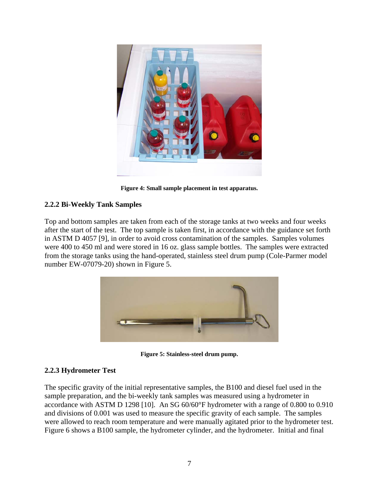<span id="page-14-0"></span>

**Figure 4: Small sample placement in test apparatus.** 

#### **2.2.2 Bi-Weekly Tank Samples**

Top and bottom samples are taken from each of the storage tanks at two weeks and four weeks after the start of the test. The top sample is taken first, in accordance with the guidance set forth in ASTM D 4057 [9], in order to avoid cross contamination of the samples. Samples volumes were 400 to 450 ml and were stored in 16 oz. glass sample bottles. The samples were extracted from the storage tanks using the hand-operated, stainless steel drum pump (Cole-Parmer model number EW-07079-20) shown in Figure 5.



**Figure 5: Stainless-steel drum pump.** 

### **2.2.3 Hydrometer Test**

The specific gravity of the initial representative samples, the B100 and diesel fuel used in the sample preparation, and the bi-weekly tank samples was measured using a hydrometer in accordance with ASTM D 1298 [10]. An SG 60/60°F hydrometer with a range of 0.800 to 0.910 and divisions of 0.001 was used to measure the specific gravity of each sample. The samples were allowed to reach room temperature and were manually agitated prior to the hydrometer test. Figure 6 shows a B100 sample, the hydrometer cylinder, and the hydrometer. Initial and final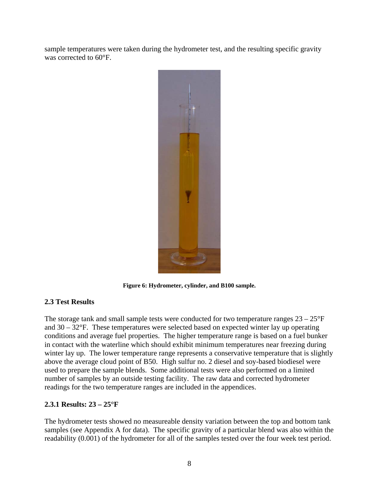<span id="page-15-0"></span>sample temperatures were taken during the hydrometer test, and the resulting specific gravity was corrected to 60°F.



**Figure 6: Hydrometer, cylinder, and B100 sample.** 

#### **2.3 Test Results**

The storage tank and small sample tests were conducted for two temperature ranges  $23 - 25^{\circ}F$ and 30 – 32°F. These temperatures were selected based on expected winter lay up operating conditions and average fuel properties. The higher temperature range is based on a fuel bunker in contact with the waterline which should exhibit minimum temperatures near freezing during winter lay up. The lower temperature range represents a conservative temperature that is slightly above the average cloud point of B50. High sulfur no. 2 diesel and soy-based biodiesel were used to prepare the sample blends. Some additional tests were also performed on a limited number of samples by an outside testing facility. The raw data and corrected hydrometer readings for the two temperature ranges are included in the appendices.

#### **2.3.1 Results: 23 – 25°F**

The hydrometer tests showed no measureable density variation between the top and bottom tank samples (see Appendix A for data). The specific gravity of a particular blend was also within the readability (0.001) of the hydrometer for all of the samples tested over the four week test period.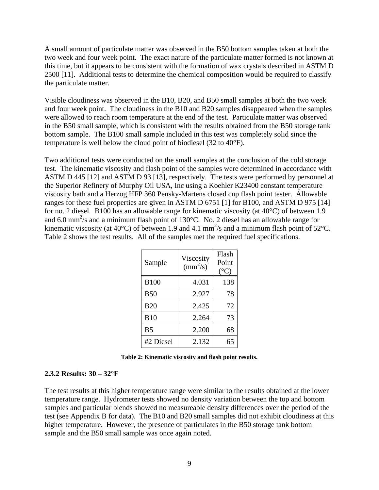<span id="page-16-0"></span>A small amount of particulate matter was observed in the B50 bottom samples taken at both the two week and four week point. The exact nature of the particulate matter formed is not known at this time, but it appears to be consistent with the formation of wax crystals described in ASTM D 2500 [11]. Additional tests to determine the chemical composition would be required to classify the particulate matter.

Visible cloudiness was observed in the B10, B20, and B50 small samples at both the two week and four week point. The cloudiness in the B10 and B20 samples disappeared when the samples were allowed to reach room temperature at the end of the test. Particulate matter was observed in the B50 small sample, which is consistent with the results obtained from the B50 storage tank bottom sample. The B100 small sample included in this test was completely solid since the temperature is well below the cloud point of biodiesel (32 to 40°F).

Two additional tests were conducted on the small samples at the conclusion of the cold storage test. The kinematic viscosity and flash point of the samples were determined in accordance with ASTM D 445 [12] and ASTM D 93 [13], respectively. The tests were performed by personnel at the Superior Refinery of Murphy Oil USA, Inc using a Koehler K23400 constant temperature viscosity bath and a Herzog HFP 360 Pensky-Martens closed cup flash point tester. Allowable ranges for these fuel properties are given in ASTM D 6751 [1] for B100, and ASTM D 975 [14] for no. 2 diesel. B100 has an allowable range for kinematic viscosity (at 40°C) of between 1.9 and 6.0 mm<sup>2</sup>/s and a minimum flash point of 130°C. No. 2 diesel has an allowable range for kinematic viscosity (at 40 $^{\circ}$ C) of between 1.9 and 4.1 mm<sup>2</sup>/s and a minimum flash point of 52 $^{\circ}$ C. Table 2 shows the test results. All of the samples met the required fuel specifications.

| Sample         | Viscosity<br>$\text{(mm}^2\text{/s)}$ | Flash<br>Point<br>$({}^{\circ}C)$ |
|----------------|---------------------------------------|-----------------------------------|
| <b>B100</b>    | 4.031                                 | 138                               |
| <b>B50</b>     | 2.927                                 | 78                                |
| <b>B20</b>     | 2.425                                 | 72                                |
| <b>B10</b>     | 2.264                                 | 73                                |
| B <sub>5</sub> | 2.200                                 | 68                                |
| #2 Diesel      | 2.132                                 | 65                                |

**Table 2: Kinematic viscosity and flash point results.** 

#### **2.3.2 Results: 30 – 32°F**

The test results at this higher temperature range were similar to the results obtained at the lower temperature range. Hydrometer tests showed no density variation between the top and bottom samples and particular blends showed no measureable density differences over the period of the test (see Appendix B for data). The B10 and B20 small samples did not exhibit cloudiness at this higher temperature. However, the presence of particulates in the B50 storage tank bottom sample and the B50 small sample was once again noted.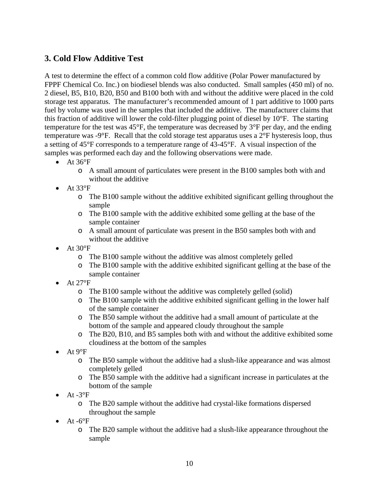## <span id="page-17-0"></span>**3. Cold Flow Additive Test**

A test to determine the effect of a common cold flow additive (Polar Power manufactured by FPPF Chemical Co. Inc.) on biodiesel blends was also conducted. Small samples (450 ml) of no. 2 diesel, B5, B10, B20, B50 and B100 both with and without the additive were placed in the cold storage test apparatus. The manufacturer's recommended amount of 1 part additive to 1000 parts fuel by volume was used in the samples that included the additive. The manufacturer claims that this fraction of additive will lower the cold-filter plugging point of diesel by 10°F. The starting temperature for the test was 45°F, the temperature was decreased by 3°F per day, and the ending temperature was -9°F. Recall that the cold storage test apparatus uses a 2°F hysteresis loop, thus a setting of 45°F corresponds to a temperature range of 43-45°F. A visual inspection of the samples was performed each day and the following observations were made.

- At  $36^{\circ}F$ 
	- o A small amount of particulates were present in the B100 samples both with and without the additive
- $\bullet$  At 33°F
	- o The B100 sample without the additive exhibited significant gelling throughout the sample
	- o The B100 sample with the additive exhibited some gelling at the base of the sample container
	- o A small amount of particulate was present in the B50 samples both with and without the additive
- At  $30^{\circ}$ F
	- o The B100 sample without the additive was almost completely gelled
	- o The B100 sample with the additive exhibited significant gelling at the base of the sample container
- At  $27^{\circ}$ F
	- o The B100 sample without the additive was completely gelled (solid)
	- o The B100 sample with the additive exhibited significant gelling in the lower half of the sample container
	- o The B50 sample without the additive had a small amount of particulate at the bottom of the sample and appeared cloudy throughout the sample
	- o The B20, B10, and B5 samples both with and without the additive exhibited some cloudiness at the bottom of the samples
- At  $9^{\circ}$ F
	- o The B50 sample without the additive had a slush-like appearance and was almost completely gelled
	- o The B50 sample with the additive had a significant increase in particulates at the bottom of the sample
- At  $-3^{\circ}F$ 
	- o The B20 sample without the additive had crystal-like formations dispersed throughout the sample
- At  $-6$ °F
	- o The B20 sample without the additive had a slush-like appearance throughout the sample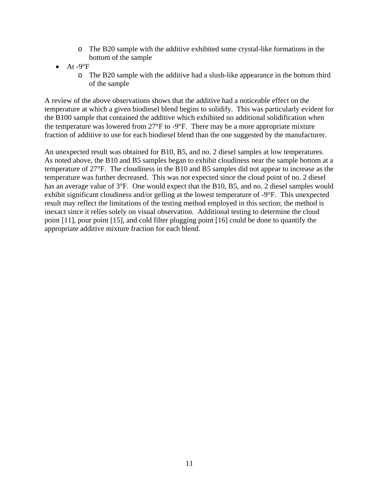- o The B20 sample with the additive exhibited some crystal-like formations in the bottom of the sample
- At  $-9^{\circ}F$ 
	- o The B20 sample with the additive had a slush-like appearance in the bottom third of the sample

A review of the above observations shows that the additive had a noticeable effect on the temperature at which a given biodiesel blend begins to solidify. This was particularly evident for the B100 sample that contained the additive which exhibited no additional solidification when the temperature was lowered from 27°F to -9°F. There may be a more appropriate mixture fraction of additive to use for each biodiesel blend than the one suggested by the manufacturer.

An unexpected result was obtained for B10, B5, and no. 2 diesel samples at low temperatures. As noted above, the B10 and B5 samples began to exhibit cloudiness near the sample bottom at a temperature of 27°F. The cloudiness in the B10 and B5 samples did not appear to increase as the temperature was further decreased. This was not expected since the cloud point of no. 2 diesel has an average value of 3°F. One would expect that the B10, B5, and no. 2 diesel samples would exhibit significant cloudiness and/or gelling at the lowest temperature of -9°F. This unexpected result may reflect the limitations of the testing method employed in this section; the method is inexact since it relies solely on visual observation. Additional testing to determine the cloud point [11], pour point [15], and cold filter plugging point [16] could be done to quantify the appropriate additive mixture fraction for each blend.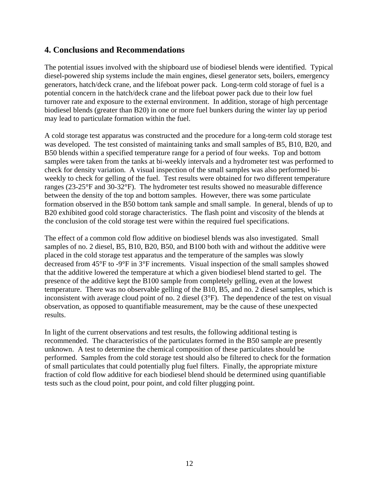## <span id="page-19-0"></span>**4. Conclusions and Recommendations**

The potential issues involved with the shipboard use of biodiesel blends were identified. Typical diesel-powered ship systems include the main engines, diesel generator sets, boilers, emergency generators, hatch/deck crane, and the lifeboat power pack. Long-term cold storage of fuel is a potential concern in the hatch/deck crane and the lifeboat power pack due to their low fuel turnover rate and exposure to the external environment. In addition, storage of high percentage biodiesel blends (greater than B20) in one or more fuel bunkers during the winter lay up period may lead to particulate formation within the fuel.

A cold storage test apparatus was constructed and the procedure for a long-term cold storage test was developed. The test consisted of maintaining tanks and small samples of B5, B10, B20, and B50 blends within a specified temperature range for a period of four weeks. Top and bottom samples were taken from the tanks at bi-weekly intervals and a hydrometer test was performed to check for density variation. A visual inspection of the small samples was also performed biweekly to check for gelling of the fuel. Test results were obtained for two different temperature ranges (23-25°F and 30-32°F). The hydrometer test results showed no measurable difference between the density of the top and bottom samples. However, there was some particulate formation observed in the B50 bottom tank sample and small sample. In general, blends of up to B20 exhibited good cold storage characteristics. The flash point and viscosity of the blends at the conclusion of the cold storage test were within the required fuel specifications.

The effect of a common cold flow additive on biodiesel blends was also investigated. Small samples of no. 2 diesel, B5, B10, B20, B50, and B100 both with and without the additive were placed in the cold storage test apparatus and the temperature of the samples was slowly decreased from 45°F to -9°F in 3°F increments. Visual inspection of the small samples showed that the additive lowered the temperature at which a given biodiesel blend started to gel. The presence of the additive kept the B100 sample from completely gelling, even at the lowest temperature. There was no observable gelling of the B10, B5, and no. 2 diesel samples, which is inconsistent with average cloud point of no. 2 diesel (3°F). The dependence of the test on visual observation, as opposed to quantifiable measurement, may be the cause of these unexpected results.

In light of the current observations and test results, the following additional testing is recommended. The characteristics of the particulates formed in the B50 sample are presently unknown. A test to determine the chemical composition of these particulates should be performed. Samples from the cold storage test should also be filtered to check for the formation of small particulates that could potentially plug fuel filters. Finally, the appropriate mixture fraction of cold flow additive for each biodiesel blend should be determined using quantifiable tests such as the cloud point, pour point, and cold filter plugging point.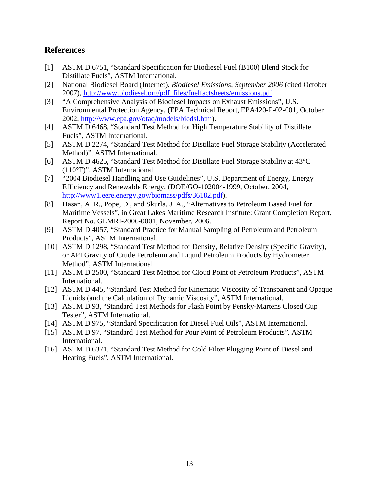## <span id="page-20-0"></span>**References**

- [1] ASTM D 6751, "Standard Specification for Biodiesel Fuel (B100) Blend Stock for Distillate Fuels", ASTM International.
- [2] National Biodiesel Board (Internet), *Biodiesel Emissions*, *September 2006* (cited October 2007), [http://www.biodiesel.org/pdf\\_files/fuelfactsheets/emissions.pdf](http://www.biodiesel.org/pdf_files/fuelfactsheets/emissions.pdf)
- [3] "A Comprehensive Analysis of Biodiesel Impacts on Exhaust Emissions", U.S. Environmental Protection Agency, (EPA Technical Report, EPA420-P-02-001, October 2002, [http://www.epa.gov/otaq/models/biodsl.htm\)](http://www.epa.gov/otaq/models/biodsl.htm).
- [4] ASTM D 6468, "Standard Test Method for High Temperature Stability of Distillate Fuels", ASTM International.
- [5] ASTM D 2274, "Standard Test Method for Distillate Fuel Storage Stability (Accelerated Method)", ASTM International.
- [6] ASTM D 4625, "Standard Test Method for Distillate Fuel Storage Stability at 43°C (110°F)", ASTM International.
- [7] "2004 Biodiesel Handling and Use Guidelines", U.S. Department of Energy, Energy Efficiency and Renewable Energy, (DOE/GO-102004-1999, October, 2004, <http://www1.eere.energy.gov/biomass/pdfs/36182.pdf>).
- [8] Hasan, A. R., Pope, D., and Skurla, J. A., "Alternatives to Petroleum Based Fuel for Maritime Vessels", in Great Lakes Maritime Research Institute: Grant Completion Report, Report No. GLMRI-2006-0001, November, 2006.
- [9] ASTM D 4057, "Standard Practice for Manual Sampling of Petroleum and Petroleum Products", ASTM International.
- [10] ASTM D 1298, "Standard Test Method for Density, Relative Density (Specific Gravity), or API Gravity of Crude Petroleum and Liquid Petroleum Products by Hydrometer Method", ASTM International.
- [11] ASTM D 2500, "Standard Test Method for Cloud Point of Petroleum Products", ASTM International.
- [12] ASTM D 445, "Standard Test Method for Kinematic Viscosity of Transparent and Opaque Liquids (and the Calculation of Dynamic Viscosity", ASTM International.
- [13] ASTM D 93, "Standard Test Methods for Flash Point by Pensky-Martens Closed Cup Tester", ASTM International.
- [14] ASTM D 975, "Standard Specification for Diesel Fuel Oils", ASTM International.
- [15] ASTM D 97, "Standard Test Method for Pour Point of Petroleum Products", ASTM International.
- [16] ASTM D 6371, "Standard Test Method for Cold Filter Plugging Point of Diesel and Heating Fuels", ASTM International.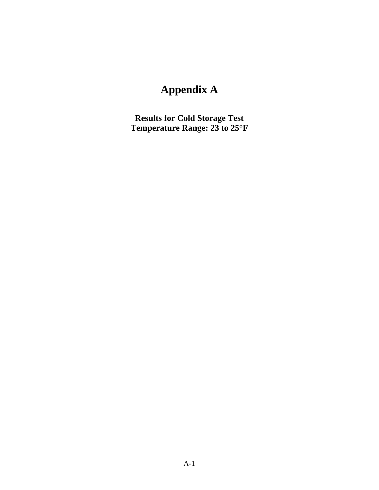# **Appendix A**

<span id="page-21-0"></span>**Results for Cold Storage Test Temperature Range: 23 to 25°F**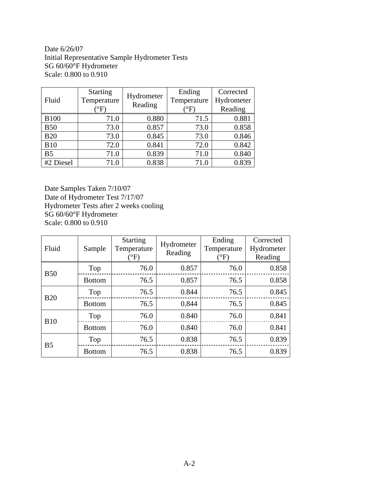Date 6/26/07 Initial Representative Sample Hydrometer Tests SG 60/60°F Hydrometer Scale: 0.800 to 0.910

| Fluid          | <b>Starting</b><br>Temperature<br>$\mathrm{^{\circ}F}$ | Hydrometer<br>Reading | Ending<br>Temperature<br>$\rm ^{o}F$ , | Corrected<br>Hydrometer<br>Reading |
|----------------|--------------------------------------------------------|-----------------------|----------------------------------------|------------------------------------|
| <b>B100</b>    | 71.0                                                   | 0.880                 | 71.5                                   | 0.881                              |
| <b>B50</b>     | 73.0                                                   | 0.857                 | 73.0                                   | 0.858                              |
| <b>B20</b>     | 73.0                                                   | 0.845                 | 73.0                                   | 0.846                              |
| <b>B10</b>     | 72.0                                                   | 0.841                 | 72.0                                   | 0.842                              |
| B <sub>5</sub> | 71.0                                                   | 0.839                 | 71.0                                   | 0.840                              |
| #2 Diesel      | 71.0                                                   | 0.838                 | 71.0                                   | 0.839                              |

Date Samples Taken 7/10/07 Date of Hydrometer Test 7/17/07 Hydrometer Tests after 2 weeks cooling SG 60/60°F Hydrometer Scale: 0.800 to 0.910

| Fluid          | Sample        | <b>Starting</b><br>Temperature<br>$\rm ^{\circ F}$ | Hydrometer<br>Reading | Ending<br>Temperature<br>$\rm ^{\circ F}$ | Corrected<br>Hydrometer<br>Reading |
|----------------|---------------|----------------------------------------------------|-----------------------|-------------------------------------------|------------------------------------|
| <b>B50</b>     | Top           | 76.0                                               | 0.857                 | 76.0                                      | 0.858                              |
|                | <b>Bottom</b> | 76.5                                               | 0.857                 | 76.5                                      | 0.858                              |
| <b>B20</b>     | Top           | 76.5                                               | 0.844                 | 76.5                                      | 0.845                              |
|                | <b>Bottom</b> | 76.5                                               | 0.844                 | 76.5                                      | 0.845                              |
| <b>B10</b>     | Top           | 76.0                                               | 0.840                 | 76.0                                      | 0.841                              |
|                | <b>Bottom</b> | 76.0                                               | 0.840                 | 76.0                                      | 0.841                              |
| B <sub>5</sub> | Top           | 76.5                                               | 0.838                 | 76.5                                      | 0.839                              |
|                | <b>Bottom</b> | 76.5                                               | 0.838                 | 76.5                                      | 0.839                              |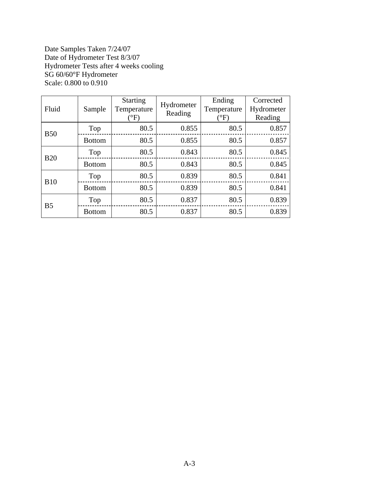Date Samples Taken 7/24/07 Date of Hydrometer Test 8/3/07 Hydrometer Tests after 4 weeks cooling SG 60/60°F Hydrometer Scale: 0.800 to 0.910

| Fluid          | Sample        | <b>Starting</b><br>Temperature<br>$\rm ^{\circ}F)$ | Hydrometer<br>Reading | Ending<br>Temperature<br>$\rm ^{\circ F)}$ | Corrected<br>Hydrometer<br>Reading |
|----------------|---------------|----------------------------------------------------|-----------------------|--------------------------------------------|------------------------------------|
| <b>B50</b>     | Top           | 80.5                                               | 0.855                 | 80.5                                       | 0.857                              |
|                | <b>Bottom</b> | 80.5                                               | 0.855                 | 80.5                                       | 0.857                              |
| <b>B20</b>     | Top           | 80.5                                               | 0.843                 | 80.5                                       | 0.845                              |
|                | <b>Bottom</b> | 80.5                                               | 0.843                 | 80.5                                       | 0.845                              |
| <b>B10</b>     | Top           | 80.5                                               | 0.839                 | 80.5                                       | 0.841                              |
|                | <b>Bottom</b> | 80.5                                               | 0.839                 | 80.5                                       | 0.841                              |
| B <sub>5</sub> | Top           | 80.5                                               | 0.837                 | 80.5                                       | 0.839                              |
|                | <b>Bottom</b> | 80.5                                               | 0.837                 | 80.5                                       | 0.839                              |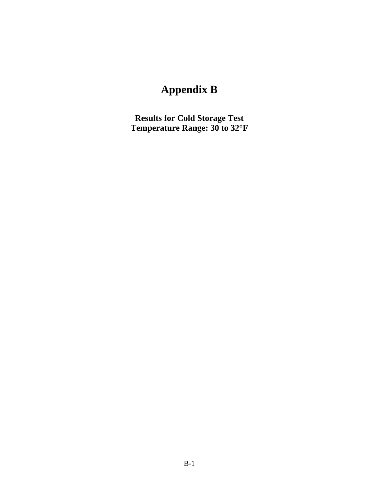# **Appendix B**

<span id="page-24-0"></span>**Results for Cold Storage Test Temperature Range: 30 to 32°F**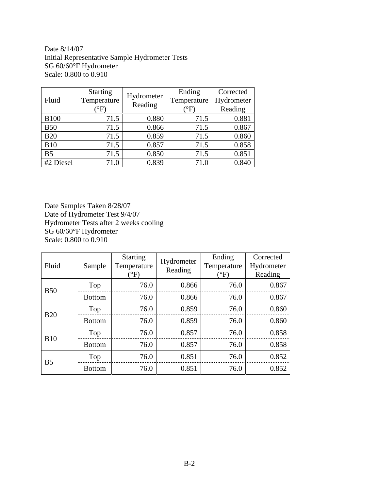Date 8/14/07 Initial Representative Sample Hydrometer Tests SG 60/60°F Hydrometer Scale: 0.800 to 0.910

| Fluid          | <b>Starting</b><br>Temperature<br>$\mathrm{^{\circ}F}$ | Hydrometer<br>Reading | Ending<br>Temperature<br>$\rm ^{o}F$ , | Corrected<br>Hydrometer<br>Reading |
|----------------|--------------------------------------------------------|-----------------------|----------------------------------------|------------------------------------|
| <b>B100</b>    | 71.5                                                   | 0.880                 | 71.5                                   | 0.881                              |
| <b>B50</b>     | 71.5                                                   | 0.866                 | 71.5                                   | 0.867                              |
| <b>B20</b>     | 71.5                                                   | 0.859                 | 71.5                                   | 0.860                              |
| <b>B10</b>     | 71.5                                                   | 0.857                 | 71.5                                   | 0.858                              |
| B <sub>5</sub> | 71.5                                                   | 0.850                 | 71.5                                   | 0.851                              |
| #2 Diesel      | 71.0                                                   | 0.839                 | 71.0                                   | 0.840                              |

Date Samples Taken 8/28/07 Date of Hydrometer Test 9/4/07 Hydrometer Tests after 2 weeks cooling SG 60/60°F Hydrometer Scale: 0.800 to 0.910

| Fluid          | Sample        | <b>Starting</b><br>Temperature<br>$({}^{\circ}{\rm F})$ | Hydrometer<br>Reading | Ending<br>Temperature<br>$\rm ^{\circ F}$ | Corrected<br>Hydrometer<br>Reading |
|----------------|---------------|---------------------------------------------------------|-----------------------|-------------------------------------------|------------------------------------|
| <b>B50</b>     | Top           | 76.0                                                    | 0.866                 | 76.0                                      | 0.867                              |
|                | <b>Bottom</b> | 76.0                                                    | 0.866                 | 76.0                                      | 0.867                              |
| <b>B20</b>     | Top           | 76.0                                                    | 0.859                 | 76.0                                      | 0.860                              |
|                | <b>Bottom</b> | 76.0                                                    | 0.859                 | 76.0                                      | 0.860                              |
| <b>B10</b>     | Top           | 76.0                                                    | 0.857                 | 76.0                                      | 0.858                              |
|                | <b>Bottom</b> | 76.0                                                    | 0.857                 | 76.0                                      | 0.858                              |
| B <sub>5</sub> | Top           | 76.0                                                    | 0.851                 | 76.0                                      | 0.852                              |
|                | <b>Bottom</b> | 76.0                                                    | 0.851                 | 76.0                                      | 0.852                              |